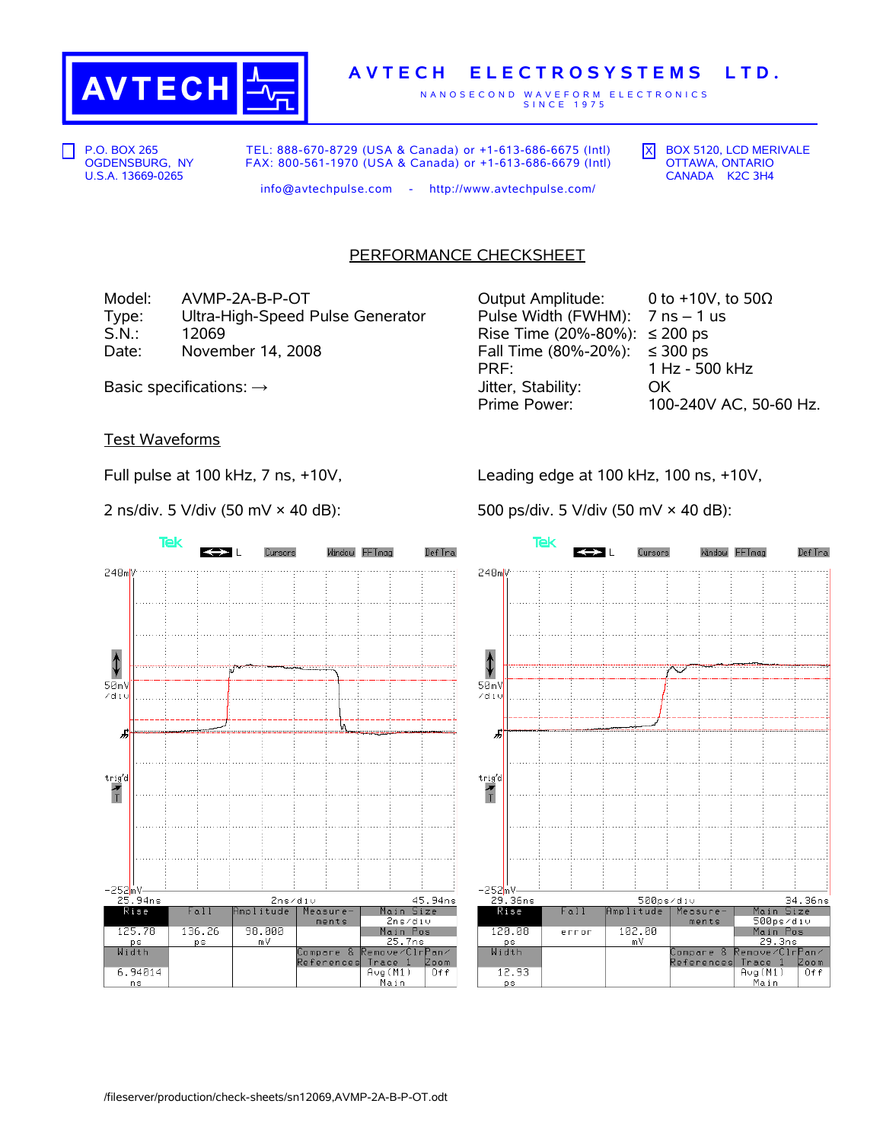

## **A V T E C H E L E C T R O S Y S T E M S L T D .**

N A N O S E C O N D W A V E F O R M E L E C T R O N I C S S I N C E 1 9 7 5

P.O. BOX 265 OGDENSBURG, NY U.S.A. 13669-0265

TEL: 888-670-8729 (USA & Canada) or +1-613-686-6675 (Intl) FAX: 800-561-1970 (USA & Canada) or +1-613-686-6679 (Intl)  $\overline{X}$  BOX 5120, LCD MERIVALE OTTAWA, ONTARIO CANADA K2C 3H4

info@avtechpulse.com - http://www.avtechpulse.com/

## PERFORMANCE CHECKSHEET

Model:  $AVMP-2A-B-P-OT$   $Output$  Amplitude: 0 to +10V, to 50 $\Omega$ Type: Ultra-High-Speed Pulse Generator Pulse Width (FWHM):  $7 \text{ ns} - 1 \text{ us}$ <br>S.N.: 12069 12069 Rise Time (20%-80%):  $\leq 200 \text{ ps}$ S.N.: 12069 Rise Time (20%-80%): ≤ 200 ps Date: November 14, 2008 Fall Time (80%-20%): ≤ 300 ps

PRF: 1 Hz - 500 kHz Basic specifications: →  $\longrightarrow$  Jitter, Stability: OK Prime Power: 100-240V AC, 50-60 Hz.

Test Waveforms

Full pulse at 100 kHz, 7 ns, +10V,

2 ns/div. 5 V/div (50 mV × 40 dB):

Tek Cursors Window FFTmag Def Tra  $\leftrightarrow$   $\rightarrow$  $248m$ ⇕  $50mV$ zdiu £ trig'd  $\frac{1}{1}$ -252<mark>mV-</mark> 25.94ns 45.94ns 2ns/div Rise Fall mplitude Measure Main Size 2ns⁄di∪ ments 98.000 125.78 136.26 Main Pos <mark>25.7ns</mark><br>Remove⁄Clr<mark>Pan⁄</mark> p s m V <u>Width</u> Compare &<br>References Trace 1<br>Avg(M1) Zoom 6.94014  $0+f$ <u> Main</u>  $n s$ 

Leading edge at 100 kHz, 100 ns, +10V,

500 ps/div. 5 V/div (50 mV × 40 dB):